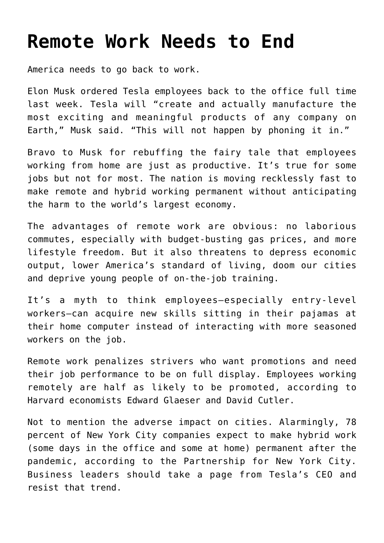## **[Remote Work Needs to End](https://intellectualtakeout.org/2022/06/remote-work-needs-to-end/)**

America needs to go back to work.

Elon Musk ordered Tesla employees back to the office full time last week. Tesla will "create and actually manufacture the most exciting and meaningful products of any company on Earth," Musk said. "This will not happen by phoning it in."

Bravo to Musk for rebuffing the fairy tale that employees working from home are just as productive. It's true for some jobs but not for most. The nation is moving recklessly fast to make remote and hybrid working permanent without anticipating the harm to the world's largest economy.

The advantages of remote work are obvious: no laborious commutes, especially with budget-busting gas prices, and more lifestyle freedom. But it also threatens to depress economic output, lower America's standard of living, doom our cities and deprive young people of on-the-job training.

It's a myth to think employees—especially entry-level workers—can acquire new skills sitting in their pajamas at their home computer instead of interacting with more seasoned workers on the job.

Remote work penalizes strivers who want promotions and need their job performance to be on full display. Employees working remotely are half as likely to be promoted, according to Harvard economists Edward Glaeser and David Cutler.

Not to mention the adverse impact on cities. Alarmingly, 78 percent of New York City companies expect to make hybrid work (some days in the office and some at home) permanent after the pandemic, according to the Partnership for New York City. Business leaders should take a page from Tesla's CEO and resist that trend.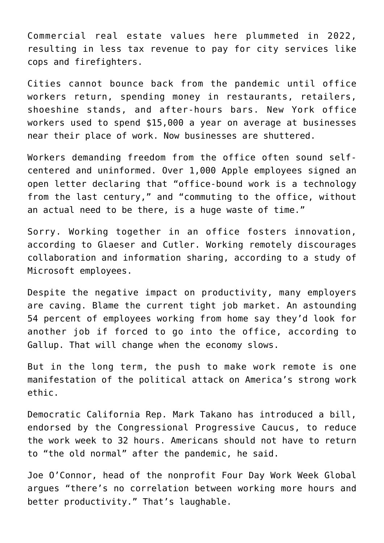Commercial real estate values here plummeted in 2022, resulting in less tax revenue to pay for city services like cops and firefighters.

Cities cannot bounce back from the pandemic until office workers return, spending money in restaurants, retailers, shoeshine stands, and after-hours bars. New York office workers used to spend \$15,000 a year on average at businesses near their place of work. Now businesses are shuttered.

Workers demanding freedom from the office often sound selfcentered and uninformed. Over 1,000 Apple employees signed an open letter declaring that "office-bound work is a technology from the last century," and "commuting to the office, without an actual need to be there, is a huge waste of time."

Sorry. Working together in an office fosters innovation, according to Glaeser and Cutler. Working remotely discourages collaboration and information sharing, according to a study of Microsoft employees.

Despite the negative impact on productivity, many employers are caving. Blame the current tight job market. An astounding 54 percent of employees working from home say they'd look for another job if forced to go into the office, according to Gallup. That will change when the economy slows.

But in the long term, the push to make work remote is one manifestation of the political attack on America's strong work ethic.

Democratic California Rep. Mark Takano has introduced a bill, endorsed by the Congressional Progressive Caucus, to reduce the work week to 32 hours. Americans should not have to return to "the old normal" after the pandemic, he said.

Joe O'Connor, head of the nonprofit Four Day Work Week Global argues "there's no correlation between working more hours and better productivity." That's laughable.